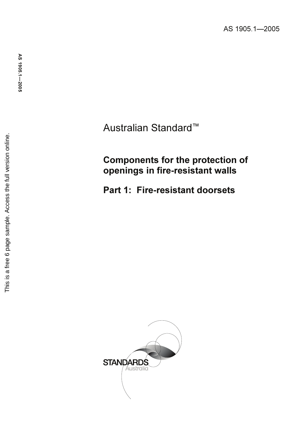Australian Standard ™

# Components for the protection of openings in fire-resistant walls

Part 1: Fire-resistant doorsets

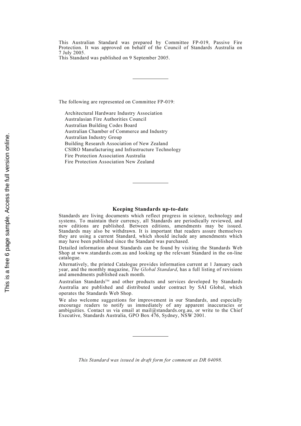This Australian Standard was prepared by Committee FP-019, Passive Fire Protection. It was approved on behalf of the Council of Standards Australia on 7 July 2005.

This Standard was published on 9 September 2005.

The following are represented on Committee FP-019:

Architectural Hardware Industry Association Australasian Fire Authorities Council Australian Building Codes Board Australian Chamber of Commerce and Industry Australian Industry Group Building Research Association of New Zealand CSIRO Manufacturing and Infrastructure Technology Fire Protection Association Australia Fire Protection Association New Zealand

#### Keeping Standards up-to-date

Standards are living documents which reflect progress in science, technology and systems. To maintain their currency, all Standards are periodically reviewed, and new editions are published. Between editions, amendments may be issued. Standards may also be withdrawn. It is important that readers assure themselves they are using a current Standard, which should include any amendments which may have been published since the Standard was purchased.

Detailed information about Standards can be found by visiting the Standards Web Shop at www.standards.com.au and looking up the relevant Standard in the on-line catalogue.

Alternatively, the printed Catalogue provides information current at 1 January each year, and the monthly magazine, The Global Standard, has a full listing of revisions and amendments published each month.

Australian Standards™ and other products and services developed by Standards Australia are published and distributed under contract by SAI Global, which operates the Standards Web Shop.

We also welcome suggestions for improvement in our Standards, and especially encourage readers to notify us immediately of any apparent inaccuracies or ambiguities. Contact us via email at mail@standards.org.au, or write to the Chief Executive, Standards Australia, GPO Box 476, Sydney, NSW 2001.

This Standard was issued in draft form for comment as DR 04098.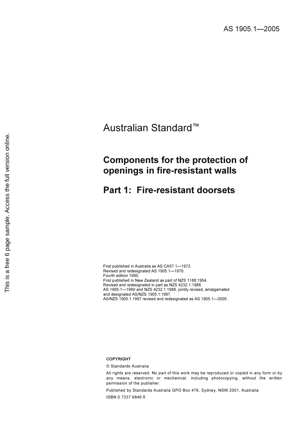# Australian Standard™

# Components for the protection of openings in fire-resistant walls

# Part 1: Fire-resistant doorsets

First published in Australia as AS CA57.1—1972. Revised and redesignated AS 1905.1—1976. Fourth edition 1990. First published in New Zealand as part of NZS 1188:1954. Revised and redesignated in part as NZS 4232.1:1988. AS 1905.1—1990 and NZS 4232.1:1988, jointly revised, amalgamated and designated AS/NZS 1905.1:1997. AS/NZS 1905.1:1997 revised and redesignated as AS 1905.1—2005.

#### COPYRIGHT

© Standards Australia

All rights are reserved. No part of this work may be reproduced or copied in any form or by any means, electronic or mechanical, including photocopying, without the written permission of the publisher.

Published by Standards Australia GPO Box 476, Sydney, NSW 2001, Australia ISBN 0 7337 6846 6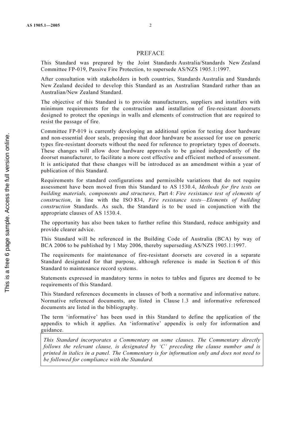### PREFACE

This Standard was prepared by the Joint Standards Australia/Standards New Zealand Committee FP-019, Passive Fire Protection, to supersede AS/NZS 1905.1:1997.

After consultation with stakeholders in both countries, Standards Australia and Standards New Zealand decided to develop this Standard as an Australian Standard rather than an Australian/New Zealand Standard.

The objective of this Standard is to provide manufacturers, suppliers and installers with minimum requirements for the construction and installation of fire-resistant doorsets designed to protect the openings in walls and elements of construction that are required to resist the passage of fire.

Committee FP-019 is currently developing an additional option for testing door hardware and non-essential door seals, proposing that door hardware be assessed for use on generic types fire-resistant doorsets without the need for reference to proprietary types of doorsets. These changes will allow door hardware approvals to be gained independently of the doorset manufacturer, to facilitate a more cost effective and efficient method of assessment. It is anticipated that these changes will be introduced as an amendment within a year of publication of this Standard.

Requirements for standard configurations and permissible variations that do not require assessment have been moved from this Standard to AS 1530.4, Methods for fire tests on building materials, components and structures, Part 4: Fire resistance test of elements of construction, in line with the ISO 834, Fire resistance tests—Elements of building construction Standards. As such, the Standard is to be used in conjunction with the appropriate clauses of AS 1530.4.

The opportunity has also been taken to further refine this Standard, reduce ambiguity and provide clearer advice.

This Standard will be referenced in the Building Code of Australia (BCA) by way of BCA 2006 to be published by 1 May 2006, thereby superseding AS/NZS 1905.1:1997.

The requirements for maintenance of fire-resistant doorsets are covered in a separate Standard designated for that purpose, although reference is made in Section 6 of this Standard to maintenance record systems.

Statements expressed in mandatory terms in notes to tables and figures are deemed to be requirements of this Standard.

This Standard references documents in clauses of both a normative and informative nature. Normative referenced documents, are listed in Clause 1.3 and informative referenced documents are listed in the bibliography.

The term 'informative' has been used in this Standard to define the application of the appendix to which it applies. An 'informative' appendix is only for information and guidance.

This Standard incorporates a Commentary on some clauses. The Commentary directly follows the relevant clause, is designated by 'C' preceding the clause number and is printed in italics in a panel. The Commentary is for information only and does not need to be followed for compliance with the Standard.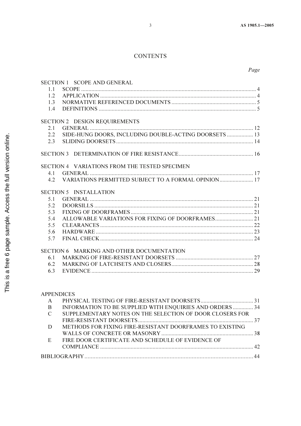# **CONTENTS**

|                   | SECTION 1 SCOPE AND GENERAL                           |  |  |
|-------------------|-------------------------------------------------------|--|--|
| 1.1               |                                                       |  |  |
| 1.2               |                                                       |  |  |
| 1.3               |                                                       |  |  |
| 1.4               |                                                       |  |  |
|                   |                                                       |  |  |
| 2.1               | SECTION 2 DESIGN REQUIREMENTS                         |  |  |
| 2.2               | SIDE-HUNG DOORS, INCLUDING DOUBLE-ACTING DOORSETS  13 |  |  |
|                   |                                                       |  |  |
| 2.3               |                                                       |  |  |
|                   |                                                       |  |  |
|                   | SECTION 4 VARIATIONS FROM THE TESTED SPECIMEN         |  |  |
| 4.1               |                                                       |  |  |
| 4.2               | VARIATIONS PERMITTED SUBJECT TO A FORMAL OPINION 17   |  |  |
|                   | <b>SECTION 5 INSTALLATION</b>                         |  |  |
| 5.1               |                                                       |  |  |
| 5.2               |                                                       |  |  |
| 5.3               |                                                       |  |  |
| 5.4               |                                                       |  |  |
| 5.5               |                                                       |  |  |
| 5.6               |                                                       |  |  |
| 5.7               |                                                       |  |  |
|                   | SECTION 6 MARKING AND OTHER DOCUMENTATION             |  |  |
| 6.1               |                                                       |  |  |
| 6.2               |                                                       |  |  |
| 6.3               |                                                       |  |  |
|                   |                                                       |  |  |
|                   |                                                       |  |  |
| <b>APPENDICES</b> |                                                       |  |  |

| A             |                                                          |  |  |
|---------------|----------------------------------------------------------|--|--|
| B             | INFORMATION TO BE SUPPLIED WITH ENQUIRIES AND ORDERS  34 |  |  |
| $\mathcal{C}$ | SUPPLEMENTARY NOTES ON THE SELECTION OF DOOR CLOSERS FOR |  |  |
|               |                                                          |  |  |
| D             | METHODS FOR FIXING FIRE-RESISTANT DOORFRAMES TO EXISTING |  |  |
|               |                                                          |  |  |
| E             | FIRE DOOR CERTIFICATE AND SCHEDULE OF EVIDENCE OF        |  |  |
|               |                                                          |  |  |
|               |                                                          |  |  |
|               |                                                          |  |  |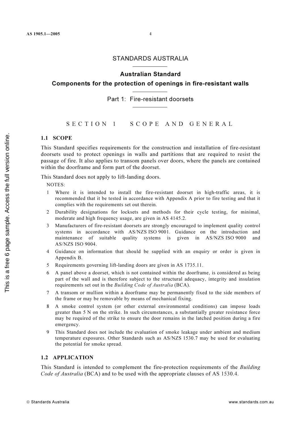## STANDARDS AUSTRALIA

## Australian Standard

Components for the protection of openings in fire-resistant walls

### Part 1: Fire-resistant doorsets

SECTION 1 SCOPE AND GENERAL

### 1.1 SCOPE

This Standard specifies requirements for the construction and installation of fire-resistant doorsets used to protect openings in walls and partitions that are required to resist the passage of fire. It also applies to transom panels over doors, where the panels are contained within the doorframe and form part of the doorset.

This Standard does not apply to lift-landing doors.

NOTES:

- 1 Where it is intended to install the fire-resistant doorset in high-traffic areas, it is recommended that it be tested in accordance with Appendix A prior to fire testing and that it complies with the requirements set out therein.
- 2 Durability designations for locksets and methods for their cycle testing, for minimal, moderate and high frequency usage, are given in AS 4145.2.
- 3 Manufacturers of fire-resistant doorsets are strongly encouraged to implement quality control systems in accordance with AS/NZS ISO 9001. Guidance on the introduction and maintenance of suitable quality systems is given in AS/NZS ISO 9000 and AS/NZS ISO 9004.
- 4 Guidance on information that should be supplied with an enquiry or order is given in Appendix B.
- 5 Requirements governing lift-landing doors are given in AS 1735.11.
- 6 A panel above a doorset, which is not contained within the doorframe, is considered as being part of the wall and is therefore subject to the structural adequacy, integrity and insulation requirements set out in the Building Code of Australia (BCA).
- 7 A transom or mullion within a doorframe may be permanently fixed to the side members of the frame or may be removable by means of mechanical fixing.
- 8 A smoke control system (or other external environmental conditions) can impose loads greater than 5 N on the strike. In such circumstances, a substantially greater resistance force may be required of the strike to ensure the door remains in the latched position during a fire emergency.
- 9 This Standard does not include the evaluation of smoke leakage under ambient and medium temperature exposures. Other Standards such as AS/NZS 1530.7 may be used for evaluating the potential for smoke spread.

### 1.2 APPLICATION

This Standard is intended to complement the fire-protection requirements of the *Building* Code of Australia (BCA) and to be used with the appropriate clauses of AS 1530.4.